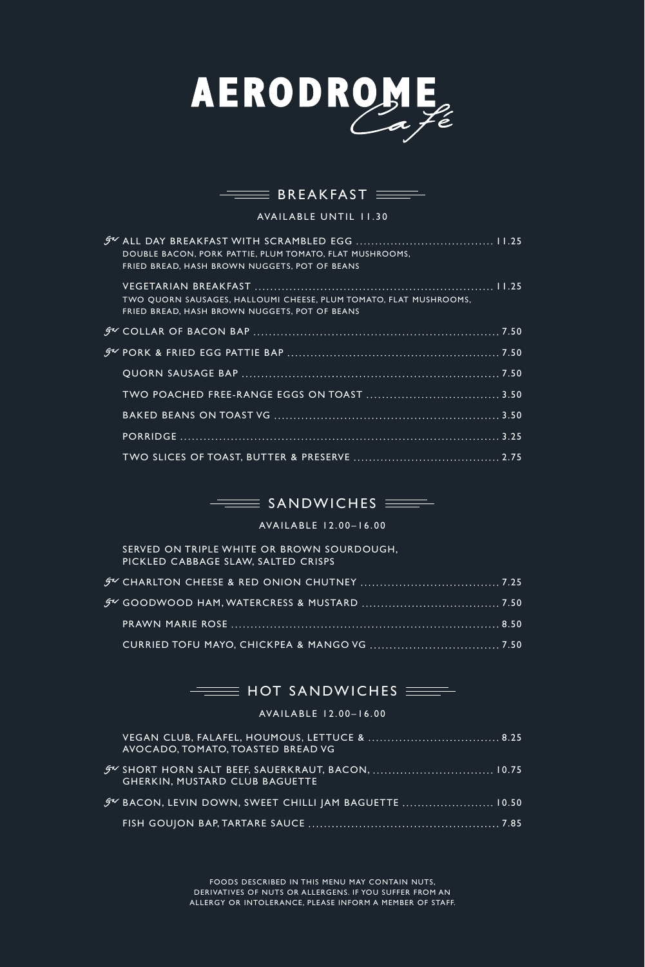

# $\equiv$  BREAKFAST  $\equiv$

AVAILABLE UNTIL 11.30

| DOUBLE BACON, PORK PATTIE, PLUM TOMATO, FLAT MUSHROOMS,<br>FRIED BREAD, HASH BROWN NUGGETS, POT OF BEANS           |
|--------------------------------------------------------------------------------------------------------------------|
| TWO QUORN SAUSAGES, HALLOUMI CHEESE, PLUM TOMATO, FLAT MUSHROOMS,<br>FRIED BREAD, HASH BROWN NUGGETS, POT OF BEANS |
|                                                                                                                    |
|                                                                                                                    |
|                                                                                                                    |
|                                                                                                                    |
|                                                                                                                    |
|                                                                                                                    |
|                                                                                                                    |

# $\equiv$  SANDWICHES  $\equiv$

AVAILABLE 12.00–16.00

| SERVED ON TRIPLE WHITE OR BROWN SOURDOUGH,<br>PICKLED CABBAGE SLAW, SALTED CRISPS |  |
|-----------------------------------------------------------------------------------|--|
|                                                                                   |  |
|                                                                                   |  |
|                                                                                   |  |
|                                                                                   |  |

# $\equiv$  HOT SANDWICHES  $\equiv$

### AVAILABLE 12.00–16.00

| AVOCADO, TOMATO, TOASTED BREAD VG                                                            |  |
|----------------------------------------------------------------------------------------------|--|
| 5 V SHORT HORN SALT BEEF, SAUERKRAUT, BACON,  10.75<br><b>GHERKIN, MUSTARD CLUB BAGUETTE</b> |  |
| <b>FV BACON, LEVIN DOWN, SWEET CHILLI JAM BAGUETTE  10.50</b>                                |  |
|                                                                                              |  |

FOODS DESCRIBED IN THIS MENU MAY CONTAIN NUTS, DERIVATIVES OF NUTS OR ALLERGENS. IF YOU SUFFER FROM AN ALLERGY OR INTOLERANCE, PLEASE INFORM A MEMBER OF STAFF.